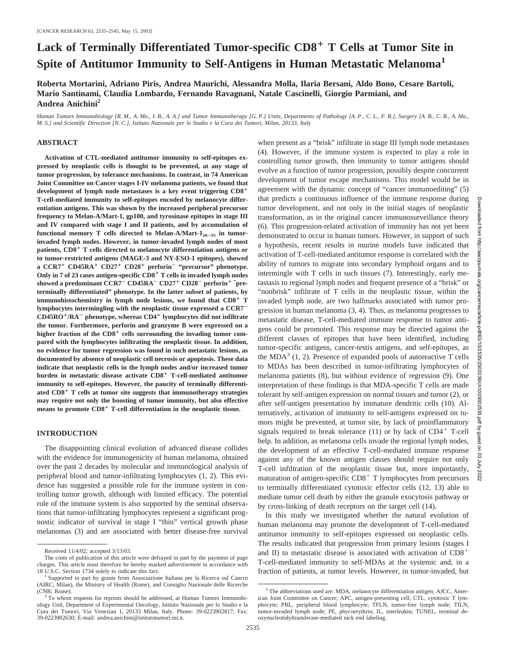# Lack of Terminally Differentiated Tumor-specific CD8<sup>+</sup> T Cells at Tumor Site in **Spite of Antitumor Immunity to Self-Antigens in Human Metastatic Melanoma<sup>1</sup>**

**Roberta Mortarini, Adriano Piris, Andrea Maurichi, Alessandra Molla, Ilaria Bersani, Aldo Bono, Cesare Bartoli, Mario Santinami, Claudia Lombardo, Fernando Ravagnani, Natale Cascinelli, Giorgio Parmiani, and Andrea Anichini2**

*Human Tumors Immunobiology [R. M., A. Mo., I. B., A. A.] and Tumor Immunotherapy [G. P.] Units, Departments of Pathology [A. P., C. L., F. R.], Surgery [A. B., C. B., A. Ma., M. S.] and Scientific Direction [N. C.], Istituto Nazionale per lo Studio e la Cura dei Tumori, Milan, 20133, Italy*

#### **ABSTRACT**

**Activation of CTL-mediated antitumor immunity to self-epitopes expressed by neoplastic cells is thought to be prevented, at any stage of tumor progression, by tolerance mechanisms. In contrast, in 74 American Joint Committee on Cancer stages I-IV melanoma patients, we found that development of lymph node metastases is a key event triggering CD8 T-cell-mediated immunity to self-epitopes encoded by melanocyte differentiation antigens. This was shown by the increased peripheral precursor frequency to Melan-A/Mart-1, gp100, and tyrosinase epitopes in stage III and IV compared with stage I and II patients, and by accumulation of** functional memory T cells directed to Melan-A/Mart-1<sub>26-35</sub> in tumor**invaded lymph nodes. However, in tumor-invaded lymph nodes of most patients, CD8 T cells directed to melanocyte differentiation antigens or to tumor-restricted antigens (MAGE-3 and NY-ESO-1 epitopes), showed a CCR7 CD45RA CD27 CD28 perforin**- **"precursor" phenotype. Only in 7 of 23 cases antigen-specific CD8 T cells in invaded lymph nodes showed a predominant CCR7**- **CD45RA**- **CD27 CD28**- **perforin " preterminally differentiated" phenotype. In the latter subset of patients, by** immunohistochemistry in lymph node lesions, we found that CD8<sup>+</sup> T **lymphocytes intermingling with the neoplastic tissue expressed a CCR7**- **CD45RO/RA**- **phenotype, whereas CD4 lymphocytes did not infiltrate the tumor. Furthermore, perforin and granzyme B were expressed on a** higher fraction of the CD8<sup>+</sup> cells surrounding the invading tumor com**pared with the lymphocytes infiltrating the neoplastic tissue. In addition, no evidence for tumor regression was found in such metastatic lesions, as documented by absence of neoplastic cell necrosis or apoptosis. These data indicate that neoplastic cells in the lymph nodes and/or increased tumor burden in metastatic disease activate CD8 T-cell-mediated antitumor immunity to self-epitopes. However, the paucity of terminally differentiated CD8 T cells at tumor site suggests that immunotherapy strategies may require not only the boosting of tumor immunity, but also effective means to promote CD8 T-cell differentiation in the neoplastic tissue.**

## **INTRODUCTION**

The disappointing clinical evolution of advanced disease collides with the evidence for immunogenicity of human melanoma, obtained over the past 2 decades by molecular and immunological analysis of peripheral blood and tumor-infiltrating lymphocytes (1, 2). This evidence has suggested a possible role for the immune system in controlling tumor growth, although with limited efficacy. The potential role of the immune system is also supported by the seminal observations that tumor-infiltrating lymphocytes represent a significant prognostic indicator of survival in stage I "thin" vertical growth phase melanomas (3) and are associated with better disease-free survival when present as a "brisk" infiltrate in stage III lymph node metastases (4). However, if the immune system is expected to play a role in controlling tumor growth, then immunity to tumor antigens should evolve as a function of tumor progression, possibly despite concurrent development of tumor escape mechanisms. This model would be in agreement with the dynamic concept of "cancer immunoediting" (5) that predicts a continuous influence of the immune response during tumor development, and not only in the initial stages of neoplastic transformation, as in the original cancer immunosurveillance theory (6). This progression-related activation of immunity has not yet been demonstrated to occur in human tumors. However, in support of such a hypothesis, recent results in murine models have indicated that activation of T-cell-mediated antitumor response is correlated with the ability of tumors to migrate into secondary lymphoid organs and to intermingle with T cells in such tissues (7). Interestingly, early metastasis to regional lymph nodes and frequent presence of a "brisk" or "nonbrisk" infiltrate of T cells in the neoplastic tissue, within the invaded lymph node, are two hallmarks associated with tumor progression in human melanoma (3, 4). Thus, as melanoma progresses to metastatic disease, T-cell-mediated immune response to tumor antigens could be promoted. This response may be directed against the different classes of epitopes that have been identified, including tumor-specific antigens, cancer-testis antigens, and self-epitopes, as the MDA<sup>3</sup> (1, 2). Presence of expanded pools of autoreactive T cells to MDAs has been described in tumor-infiltrating lymphocytes of melanoma patients (8), but without evidence of regression (9). One interpretation of these findings is that MDA-specific T cells are made tolerant by self-antigen expression on normal tissues and tumor (2), or after self-antigen presentation by immature dendritic cells (10). Alternatively, activation of immunity to self-antigens expressed on tumors might be prevented, at tumor site, by lack of proinflammatory signals required to break tolerance  $(11)$  or by lack of CD4<sup>+</sup> T-cell help. In addition, as melanoma cells invade the regional lymph nodes, the development of an effective T-cell-mediated immune response against any of the known antigen classes should require not only T-cell infiltration of the neoplastic tissue but, more importantly, maturation of antigen-specific  $CD8<sup>+</sup>$  T lymphocytes from precursors to terminally differentiated cytotoxic effector cells (12, 13) able to mediate tumor cell death by either the granule exocytosis pathway or by cross-linking of death receptors on the target cell (14).

In this study we investigated whether the natural evolution of human melanoma may promote the development of T-cell-mediated antitumor immunity to self-epitopes expressed on neoplastic cells. The results indicated that progression from primary lesions (stages I and II) to metastatic disease is associated with activation of CD8 T-cell-mediated immunity to self-MDAs at the systemic and, in a fraction of patients, at tumor levels. However, in tumor-invaded, but Downloaded from

Received 11/4/02; accepted 3/13/03.

The costs of publication of this article were defrayed in part by the payment of page charges. This article must therefore be hereby marked *advertisement* in accordance with

<sup>&</sup>lt;sup>1</sup> Supported in part by grants from Associazione Italiana per la Ricerca sul Cancro (AIRC; Milan), the Ministry of Health (Rome), and Consiglio Nazionale delle Ricerche

 $<sup>2</sup>$  To whom requests for reprints should be addressed, at Human Tumors Immunobi-</sup> ology Unit, Department of Experimental Oncology, Istituto Nazionale per lo Studio e la Cura dei Tumori, Via Venezian 1, 20133 Milan, Italy. Phone: 39-0223902817; Fax: 39-0223902630; E-mail: andrea.anichini@istitutotumori.mi.it.

<sup>&</sup>lt;sup>3</sup> The abbreviations used are: MDA, melanocyte differentiation antigen; AJCC, American Joint Committee on Cancer; APC, antigen-presenting cell; CTL, cytotoxic T lymphocyte; PBL, peripheral blood lymphocyte; TFLN, tumor-free lymph node; TILN, tumor-invaded lymph node; PE, phycoerythrin; IL, interleukin; TUNEL, terminal deoxynucleotidyltransferase-mediated nick end labeling.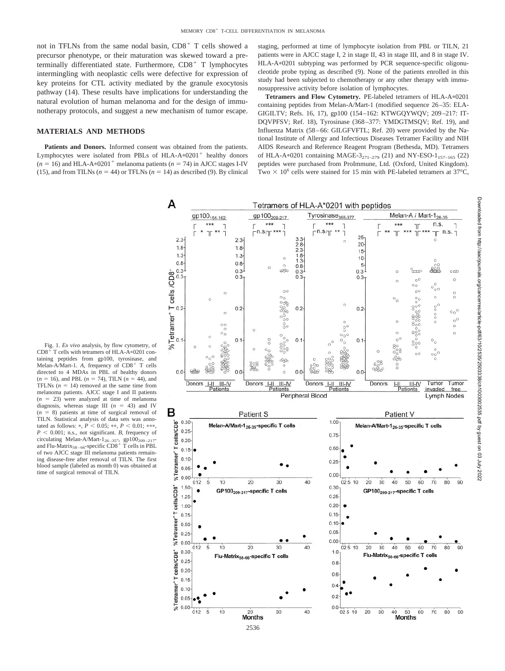not in TFLNs from the same nodal basin,  $CD8<sup>+</sup>$  T cells showed a precursor phenotype, or their maturation was skewed toward a preterminally differentiated state. Furthermore,  $CD8<sup>+</sup>$  T lymphocytes intermingling with neoplastic cells were defective for expression of key proteins for CTL activity mediated by the granule exocytosis pathway (14). These results have implications for understanding the natural evolution of human melanoma and for the design of immunotherapy protocols, and suggest a new mechanism of tumor escape.

#### **MATERIALS AND METHODS**

**Patients and Donors.** Informed consent was obtained from the patients. Lymphocytes were isolated from PBLs of HLA-A $*0201$ <sup>+</sup> healthy donors  $(n = 16)$  and HLA-A\*0201<sup>+</sup> melanoma patients  $(n = 74)$  in AJCC stages I-IV (15), and from TILNs  $(n = 44)$  or TFLNs  $(n = 14)$  as described (9). By clinical

staging, performed at time of lymphocyte isolation from PBL or TILN, 21 patients were in AJCC stage I, 2 in stage II, 43 in stage III, and 8 in stage IV. HLA-A\*0201 subtyping was performed by PCR sequence-specific oligonucleotide probe typing as described (9). None of the patients enrolled in this study had been subjected to chemotherapy or any other therapy with immunosuppressive activity before isolation of lymphocytes.

Tetramers and Flow Cytometry. PE-labeled tetramers of HLA-A\*0201 containing peptides from Melan-A/Mart-1 (modified sequence 26–35: ELA-GIGILTV; Refs. 16, 17), gp100 (154–162: KTWGQYWQV; 209–217: IT-DQVPFSV; Ref. 18), Tyrosinase (368–377: YMDGTMSQV; Ref. 19), and Influenza Matrix (58–66: GILGFVFTL; Ref. 20) were provided by the National Institute of Allergy and Infectious Diseases Tetramer Facility and NIH AIDS Research and Reference Reagent Program (Bethesda, MD). Tetramers of HLA-A\*0201 containing MAGE-3<sub>271–279</sub> (21) and NY-ESO-1<sub>157–165</sub> (22) peptides were purchased from ProImmune, Ltd. (Oxford, United Kingdom). Two  $\times$  10<sup>6</sup> cells were stained for 15 min with PE-labeled tetramers at 37°C,



Fig. 1. *Ex vivo* analysis, by flow cytometry, of  $CD8<sup>+</sup>$  T cells with tetramers of HLA-A $*0201$  containing peptides from gp100, tyrosinase, and Melan-A/Mart-1. A, frequency of CD8<sup>+</sup> T cells directed to 4 MDAs in PBL of healthy donors  $(n = 16)$ , and PBL  $(n = 74)$ , TILN  $(n = 44)$ , and TFLNs  $(n = 14)$  removed at the same time from melanoma patients. AJCC stage I and II patients  $(n = 23)$  were analyzed at time of melanoma diagnosis, whereas stage III  $(n = 43)$  and IV  $(n = 8)$  patients at time of surgical removal of TILN. Statistical analysis of data sets was annotated as follows: \*,  $P < 0.05$ ; \*\*,  $P < 0.01$ ; \*\*\*,  $P < 0.001$ ; n.s., not significant. *B*, frequency of circulating Melan-A/Mart- $1_{26-35}$ , gp100<sub>209-217</sub>-<br>and Flu-Matrix<sub>58–66</sub>-specific CD8<sup>+</sup> T cells in PBL of two AJCC stage III melanoma patients remaining disease-free after removal of TILN. The first blood sample (labeled as month 0) was obtained at time of surgical removal of TILN.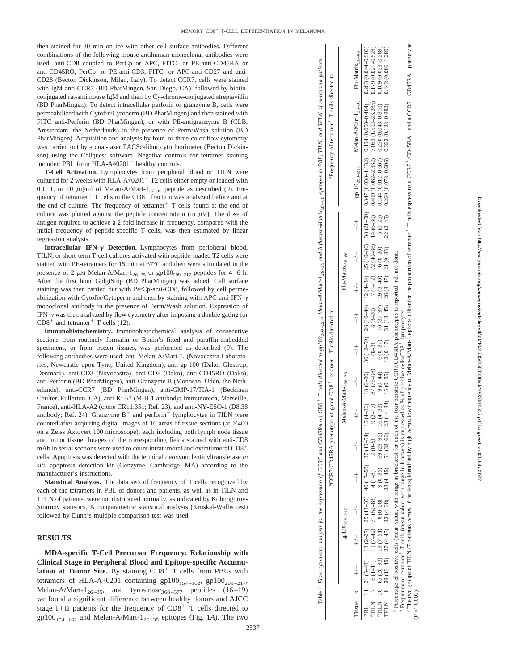then stained for 30 min on ice with other cell surface antibodies. Different combinations of the following mouse antihuman monoclonal antibodies were used: anti-CD8 coupled to PerCp or APC, FITC- or PE-anti-CD45RA or anti-CD45RO, PerCp- or PE-anti-CD3, FITC- or APC-anti-CD27 and anti-CD28 (Becton Dickinson, Milan, Italy). To detect CCR7, cells were stained with IgM anti-CCR7 (BD PharMingen, San Diego, CA), followed by biotinconjugated rat-antimouse IgM and then by Cy-chrome-conjugated streptavidin (BD PharMingen). To detect intracellular perforin or granzyme B, cells were permeabilized with Cytofix/Cytoperm (BD PharMingen) and then stained with FITC anti-Perforin (BD PharMingen), or with PE-antigranzyme B (CLB, Amsterdam, the Netherlands) in the presence of Perm/Wash solution (BD PharMingen). Acquisition and analysis by four- or three-color flow cytometry was carried out by a dual-laser FACScalibur cytofluorimeter (Becton Dickinson) using the Cellquest software. Negative controls for tetramer staining included PBL from HLA-A 0201 healthy controls.

**T-Cell Activation.** Lymphocytes from peripheral blood or TILN were cultured for 2 weeks with HLA-A\*0201<sup>+</sup> T2 cells either empty or loaded with 0.1, 1, or 10  $\mu$ g/ml of Melan-A/Mart-1<sub>27-35</sub> peptide as described (9). Frequency of tetramer<sup>+</sup> T cells in the  $CD8$ <sup>+</sup> fraction was analyzed before and at the end of culture. The frequency of tetramer<sup>+</sup> T cells found at the end of culture was plotted against the peptide concentration (in  $\mu$ M). The dose of antigen required to achieve a 2-fold increase in frequency, compared with the initial frequency of peptide-specific T cells, was then estimated by linear regression analysis.

**Intracellular IFN- Detection.** Lymphocytes from peripheral blood, TILN, or short-term T-cell cultures activated with peptide-loaded T2 cells were stained with PE-tetramers for 15 min at 37 °C and then were stimulated in the presence of 2  $\mu$ M Melan-A/Mart-1<sub>26-35</sub> or gp100<sub>209-217</sub> peptides for 4-6 h. After the first hour GolgiStop (BD PharMingen) was added. Cell surface staining was then carried out with PerCp-anti-CD8, followed by cell permeabilization with Cytofix/Cytoperm and then by staining with APC anti-IFN- $\gamma$ monoclonal antibody in the presence of Perm/Wash solution. Expression of IFN- $\gamma$  was then analyzed by flow cytometry after imposing a double gating for  $CD8<sup>+</sup>$  and tetramer<sup>+</sup> T cells (12).

**Immunohistochemistry.** Immunohistochemical analysis of consecutive sections from routinely formalin or Bouin 's fixed and paraffin-embedded specimens, or from frozen tissues, was performed as described (9). The following antibodies were used: anti Melan-A/Mart-1, (Novocastra Laboratories, Newcastle upon Tyne, United Kingdom), anti-gp-100 (Dako, Glostrup, Denmark), anti-CD3 (Novocastra), anti-CD8 (Dako), anti-CD45RO (Dako), anti-Perforin (BD PharMingen), anti-Granzyme B (Monosan, Uden, the Netherlands), anti-CCR7 (BD PharMingen), anti-GMP-17/TIA-1 (Beckman Coulter, Fullerton, CA), anti-Ki-67 (MIB-1 antibody; Immunotech, Marseille, France), anti-HLA-A2 (clone CR11.351; Ref. 23), and anti-NY-ESO-1 (D8.38 antibody; Ref. 24). Granzyme  $B^+$  and perforin<sup>+</sup> lymphocytes in TILN were counted after acquiring digital images of 10 areas of tissue sections (at  $\times$ 400 on a Zeiss Axiovert 100 microscope), each including both lymph node tissue and tumor tissue. Images of the corresponding fields stained with anti-CD8 mAb in serial sections were used to count intratumoral and extratumoral  $CD8^+$ cells. Apoptosis was detected with the terminal deoxynucleotidyltransferase *in situ* apoptosis detection kit (Genzyme, Cambridge, MA) according to the manufacturer 's instructions.

**Statistical Analysis.** The data sets of frequency of T cells recognized by each of the tetramers in PBL of donors and patients, as well as in TILN and TFLN of patients, were not distributed normally, as indicated by Kolmogorov-Smirnov statistics. A nonparametric statistical analysis (Kruskal-Wallis test) followed by Dunn 's multiple comparison test was used.

# **RESULTS**

**MDA-specific T-Cell Precursor Frequency: Relationship with Clinical Stage in Peripheral Blood and Epitope-specific Accumu**lation at Tumor Site. By staining CD8<sup>+</sup> T cells from PBLs with tetramers of HLA-A\*0201 containing  $gp100_{154-162}$ ,  $gp100_{209-217}$ , Melan-A/Mart- $1_{26-35}$ , and tyrosinase<sub>368-377</sub> peptides (16-19) we found a significant difference between healthy donors and AJCC stage I+II patients for the frequency of  $CD8<sup>+</sup>$  T cells directed to  $gp100_{154-162}$  and Melan-A/Mart- $1_{26-35}$  epitopes (Fig. 1A). The two

| 'Frequency of tetramer <sup>+</sup> T cells directed to                                   |                                        | Melan-A/Mart-1 <sub>26-35</sub> Flu-Matrix <sub>58-66</sub> |  |
|-------------------------------------------------------------------------------------------|----------------------------------------|-------------------------------------------------------------|--|
|                                                                                           |                                        | $gp100_{209-217}$                                           |  |
|                                                                                           |                                        | $+\rangle +$                                                |  |
|                                                                                           | Flu-Matrix <sub>58-66</sub>            |                                                             |  |
|                                                                                           |                                        |                                                             |  |
|                                                                                           |                                        |                                                             |  |
|                                                                                           | Melan-A/Mart- $1_{26-35}$              | $+\frac{1}{2}$                                              |  |
| CCR7/CD45RA phenotype of gated CD8 <sup>+</sup> tetramer <sup>+</sup> T cells directed to |                                        |                                                             |  |
|                                                                                           |                                        |                                                             |  |
|                                                                                           |                                        | $+\frac{1}{x}$                                              |  |
|                                                                                           |                                        | $+\rightarrow$                                              |  |
|                                                                                           | $\mathcal{L}^{100}$ <sub>209-217</sub> | $-\$ $-\$                                                   |  |
|                                                                                           |                                        |                                                             |  |
|                                                                                           |                                        | $+\frac{1}{x}$                                              |  |
|                                                                                           |                                        |                                                             |  |
|                                                                                           |                                        | l'issue                                                     |  |

Table 1 Flow cytometry analysis for the expression of CCR7 and CD45RA on CD8<sup>+</sup> T cells directed to gp100<sub>209-217</sub>, Melan-A/Matr1-1<sub>26-35</sub> and Influentsa-Matrix<sub>38-66</sub> epitopes in PBL, TILN, and TFLN of melanoma patients

Table 1 Flow cytometry analysis for the expression of CCR7 and CD45RA on CD8<sup>+</sup> T cells directed to gp100<sub>209-217</sub>, Melan-AMatr1<sub>-30-35</sub> and Influenza-Matrix<sub>58-06</sub> epitopes in PBL, TILN,

and TFLN of melanoma patients

 Percentage of positive cells (mean value, with range in brackets) for each of the four possible CCR7/CD45RA phenotypes is reported. nd, not done.  $^b$  Frequency of tetramer  $^+$  T cells (mean value, with range in brackets) is expressed as % of positive cells/CD8 $^+$  lymphocytes.

*abc*<sup>7</sup> The two groups of TILN (7 patients 16 patients) identified by high *versus* low frequency to Melan-A/Mart-1 epitope differ for the proportion of tetramer<sup>+</sup> T cells expressing a CCR7<sup>+</sup>/CD45RA<sup>+</sup> and a CCR7<sup>-</sup> CD45RA<sup></sup>

 $CD45RA^-$ phenotype  $+$  T cells expressing a CCR7  $^+$  /CD45RA  $^+$  and a CCR7  $^ (P < 0.001)$ . É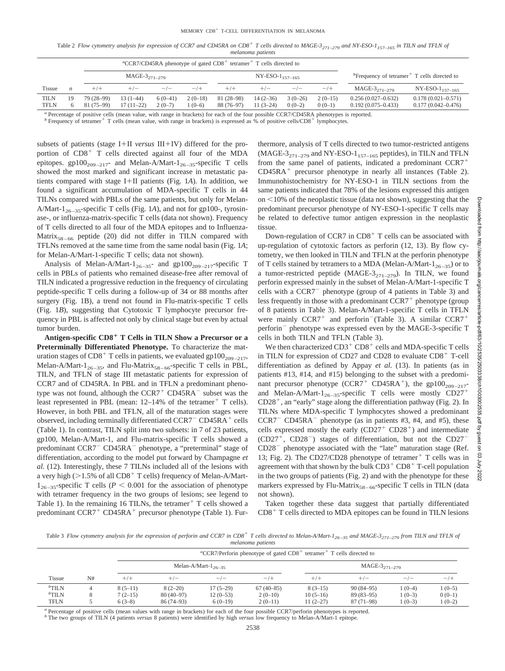Table 2 *Flow cytometry analysis for expression of CCR7 and CD45RA on CD8<sup>+</sup> T cells directed to MAGE-3<sub>271–279</sub> and NY-ESO-1<sub>157–165</sub> in TILN and TFLN of melanoma patients*

| "CCR7/CD45RA phenotype of gated $CD8+$ tetramer <sup>+</sup> T cells directed to                                                                |          |                                            |                          |                       |                       |                          |                          |                       |                       |                                                                         |                                                  |  |
|-------------------------------------------------------------------------------------------------------------------------------------------------|----------|--------------------------------------------|--------------------------|-----------------------|-----------------------|--------------------------|--------------------------|-----------------------|-----------------------|-------------------------------------------------------------------------|--------------------------------------------------|--|
|                                                                                                                                                 |          | $MAGE-3_{271-279}$<br>$NY-ESO-1_{157-165}$ |                          |                       |                       |                          |                          |                       |                       | $P$ Frequency of tetramer <sup><math>+</math></sup> T cells directed to |                                                  |  |
| <b>Tissue</b>                                                                                                                                   | n        | $+/+$                                      |                          | $-/-$                 | $-/+$                 | $+/+$                    | $+/-$                    | $-/-$                 | $-/+$                 | MAGE- $3_{271-279}$                                                     | NY-ESO-1 <sub>157–165</sub>                      |  |
| TILN<br><b>TFLN</b>                                                                                                                             | 19<br>6. | 79 (28-99)<br>81 (75–99)                   | 13 (1–44)<br>$17(11-22)$ | $6(0-41)$<br>$2(0-7)$ | $2(0-18)$<br>$1(0-6)$ | 81 (28–98)<br>88 (76–97) | $14(2-36)$<br>$11(3-24)$ | $3(0-26)$<br>$0(0-2)$ | $2(0-15)$<br>$0(0-1)$ | $0.256(0.027-0.632)$<br>$0.192(0.075 - 0.433)$                          | $0.178(0.021 - 0.571)$<br>$0.177(0.042 - 0.476)$ |  |
| <sup>a</sup> Percentage of positive cells (mean value, with range in brackets) for each of the four possible CCR7/CD45RA phenotypes is reported |          |                                            |                          |                       |                       |                          |                          |                       |                       |                                                                         |                                                  |  |

<sup>a</sup> Percentage of positive cells (mean value, with range in brackets) for each of the four possible CCR7/CD45RA phenotypes is reported.<br><sup>b</sup> Frequency of tetramer<sup>+</sup> T cells (mean value, with range in brackets) is expresse

subsets of patients (stage I+II *versus* III+IV) differed for the proportion of  $CD8<sup>+</sup>$  T cells directed against all four of the MDA epitopes. gp100<sub>209-217</sub>- and Melan-A/Mart-1<sub>26-35</sub>-specific T cells showed the most marked and significant increase in metastatic patients compared with stage I+II patients (Fig.  $1A$ ). In addition, we found a significant accumulation of MDA-specific T cells in 44 TILNs compared with PBLs of the same patients, but only for Melan-A/Mart-1<sub>26–35</sub>-specific T cells (Fig. 1*A*), and not for gp100-, tyrosinase-, or influenza-matrix-specific T cells (data not shown). Frequency of T cells directed to all four of the MDA epitopes and to Influenza-Matrix<sub>58–66</sub> peptide (20) did not differ in TILN compared with TFLNs removed at the same time from the same nodal basin (Fig. 1*A*; for Melan-A/Mart-1-specific T cells; data not shown).

Analysis of Melan-A/Mart- $1_{26-35}$ - and gp100<sub>209-217</sub>-specific T cells in PBLs of patients who remained disease-free after removal of TILN indicated a progressive reduction in the frequency of circulating peptide-specific T cells during a follow-up of 34 or 88 months after surgery (Fig. 1B), a trend not found in Flu-matrix-specific T cells (Fig. 1*B*), suggesting that Cytotoxic T lymphocyte precursor frequency in PBL is affected not only by clinical stage but even by actual tumor burden.

**Antigen-specific CD8 T Cells in TILN Show a Precursor or a Preterminally Differentiated Phenotype.** To characterize the maturation stages of CD8<sup>+</sup> T cells in patients, we evaluated gp100<sub>209–217</sub>, Melan-A/Mart-1<sub>26–35</sub>, and Flu-Matrix<sub>58–66</sub>-specific T cells in PBL, TILN, and TFLN of stage III metastatic patients for expression of CCR7 and of CD45RA. In PBL and in TFLN a predominant phenotype was not found, although the  $CCR7<sup>+</sup> CD45RA<sup>-</sup>$  subset was the least represented in PBL (mean:  $12-14\%$  of the tetramer<sup>+</sup> T cells). However, in both PBL and TFLN, all of the maturation stages were observed, including terminally differentiated  $CCR7$ <sup>-</sup> $CD45RA$ <sup>+</sup> cells (Table 1). In contrast, TILN split into two subsets: in 7 of 23 patients, gp100, Melan-A/Mart-1, and Flu-matrix-specific T cells showed a predominant CCR7<sup>-</sup> CD45RA<sup>-</sup> phenotype, a "preterminal" stage of differentiation, according to the model put forward by Champagne *et al.* (12). Interestingly, these 7 TILNs included all of the lesions with a very high ( $>1.5\%$  of all CD8<sup>+</sup> T cells) frequency of Melan-A/Mart- $1_{26-35}$ -specific T cells ( $P < 0.001$  for the association of phenotype with tetramer frequency in the two groups of lesions; see legend to Table 1). In the remaining 16 TILNs, the tetramer<sup>+</sup> T cells showed a predominant  $CCR7^+$  CD45RA<sup>+</sup> precursor phenotype (Table 1). Furthermore, analysis of T cells directed to two tumor-restricted antigens  $(MAGE-3<sub>271–279</sub>$  and NY-ESO-1<sub>157–165</sub> peptides), in TILN and TFLN from the same panel of patients, indicated a predominant CCR7  $CD45RA<sup>+</sup>$  precursor phenotype in nearly all instances (Table 2). Immunohistochemistry for NY-ESO-1 in TILN sections from the same patients indicated that 78% of the lesions expressed this antigen on  $\leq 10\%$  of the neoplastic tissue (data not shown), suggesting that the predominant precursor phenotype of NY-ESO-1-specific T cells may be related to defective tumor antigen expression in the neoplastic tissue.

Down-regulation of CCR7 in  $CD8<sup>+</sup>$  T cells can be associated with up-regulation of cytotoxic factors as perforin (12, 13). By flow cytometry, we then looked in TILN and TFLN at the perforin phenotype of T cells stained by tetramers to a MDA (Melan-A/Mart- $1_{26-35}$ ) or to a tumor-restricted peptide (MAGE-3 $_{271-279}$ ). In TILN, we found perforin expressed mainly in the subset of Melan-A/Mart-1-specific T cells with a  $CCR7$ <sup>-</sup> phenotype (group of 4 patients in Table 3) and less frequently in those with a predominant  $CCR7<sup>+</sup>$  phenotype (group of 8 patients in Table 3). Melan-A/Mart-1-specific T cells in TFLN were mainly  $CCR7^+$  and perforin<sup>-</sup>(Table 3). A similar  $CCR7^+$ perforin<sup>-</sup> phenotype was expressed even by the MAGE-3-specific T cells in both TILN and TFLN (Table 3).

We then characterized  $CD3^+$  CD8<sup>+</sup> cells and MDA-specific T cells in TILN for expression of CD27 and CD28 to evaluate  $CD8<sup>+</sup>$  T-cell differentiation as defined by Appay *et al.* (13). In patients (as in patients #13, #14, and #15) belonging to the subset with a predominant precursor phenotype (CCR7<sup>+</sup> CD45RA<sup>+</sup>), the gp100<sub>209-217</sub>and Melan-A/Mart- $1_{26-35}$ -specific T cells were mostly CD27<sup>+</sup>  $CD28^+$ , an "early" stage along the differentiation pathway (Fig. 2). In TILNs where MDA-specific T lymphocytes showed a predominant  $CCR7$ <sup>-</sup>  $CD45RA$ <sup>-</sup> phenotype (as in patients #3, #4, and #5), these cells expressed mostly the early  $(CD27<sup>+</sup> CD28<sup>+</sup>)$  and intermediate  $(CD27<sup>+</sup>, CD28<sup>-</sup>)$  stages of differentiation, but not the CD27<sup>-</sup>  $CD28^-$  phenotype associated with the "late" maturation stage (Ref. 13; Fig. 2). The CD27/CD28 phenotype of tetramer<sup>+</sup> T cells was in agreement with that shown by the bulk  $CD3^+$  CD8<sup>+</sup> T-cell population in the two groups of patients (Fig. 2) and with the phenotype for these markers expressed by Flu-Matrix<sub>58–66</sub>-specific T cells in TILN (data not shown).

Taken together these data suggest that partially differentiated  $CD8<sup>+</sup>$  T cells directed to MDA epitopes can be found in TILN lesions

Table 3 *Flow cytometry analysis for the expression of perforin and CCR7 in CD8 T cells directed to Melan-A/Mart-126–35 and MAGE-3271–279 from TILN and TFLN of melanoma patients*

|                                           |    |                                    | "CCR7/Perforin phenotype of gated $CD8+$ tetramer <sup>+</sup> T cells directed to |                                       |                                       |                                       |                                           |                                  |                                 |  |  |
|-------------------------------------------|----|------------------------------------|------------------------------------------------------------------------------------|---------------------------------------|---------------------------------------|---------------------------------------|-------------------------------------------|----------------------------------|---------------------------------|--|--|
|                                           |    |                                    |                                                                                    | Melan-A/Mart- $1_{26-35}$             |                                       | MAGE-3 <sub>271-279</sub>             |                                           |                                  |                                 |  |  |
| <b>Tissue</b>                             | N# | $^{+/+}$                           | $+/-$                                                                              | $-/-$                                 | $-$ /+                                | $^{+/+}$                              | $+/-$                                     | $-/-$                            | $-/+$                           |  |  |
| ${}^b$ TILN<br>${}^b$ TILN<br><b>TFLN</b> |    | $8(5-11)$<br>$7(2-15)$<br>$6(3-8)$ | $8(2-20)$<br>$80(40-97)$<br>$86(74-93)$                                            | $17(5-29)$<br>$12(0-53)$<br>$6(0-19)$ | $67(40-85)$<br>$2(0-10)$<br>$2(0-11)$ | $8(3-15)$<br>$10(5-16)$<br>$11(2-27)$ | $90(84-95)$<br>$89(83-95)$<br>$87(71-98)$ | $1(0-4)$<br>$1(0-3)$<br>$1(0-3)$ | $1(0-5)$<br>$0(0-1)$<br>$(0-2)$ |  |  |

*<sup>a</sup>* Percentage of positive cells (mean values with range in brackets) for each of the four possible CCR7/perforin phenotypes is reported.

*<sup>b</sup>* The two groups of TILN (4 patients *versus* 8 patients) were identified by high *versus* low frequency to Melan-A/Mart-1 epitope.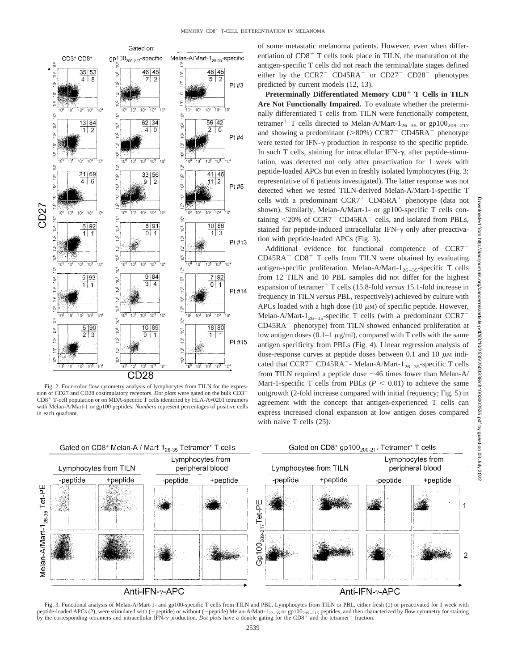

Fig. 2. Four-color flow cytometry analysis of lymphocytes from TILN for the expression of CD27 and CD28 costimulatory receptors. *Dot plots* were gated on the bulk CD3  $CD8<sup>+</sup>$  T-cell population or on MDA-specific T cells identified by HLA-A $*0201$  tetramers with Melan-A/Mart-1 or gp100 peptides. *Numbers* represent percentages of positive cells in each quadrant.

of some metastatic melanoma patients. However, even when differentiation of  $CD8<sup>+</sup>$  T cells took place in TILN, the maturation of the antigen-specific T cells did not reach the terminal/late stages defined either by the  $CCR7$ <sup>-</sup>  $CD45RA$ <sup>+</sup> or  $CD27$ <sup>-</sup>  $CD28$ <sup>-</sup> phenotypes predicted by current models (12, 13).

**Preterminally Differentiated Memory CD8 T Cells in TILN Are Not Functionally Impaired.** To evaluate whether the preterminally differentiated T cells from TILN were functionally competent, tetramer<sup>+</sup> T cells directed to Melan-A/Mart-1<sub>26–35</sub> or gp100<sub>209–217</sub> and showing a predominant ( $>80\%$ ) CCR7<sup>-</sup> CD45RA<sup>-</sup> phenotype were tested for IFN- $\gamma$  production in response to the specific peptide. In such T cells, staining for intracellular IFN- $\gamma$ , after peptide-stimulation, was detected not only after preactivation for 1 week with peptide-loaded APCs but even in freshly isolated lymphocytes (Fig. 3; representative of 6 patients investigated). The latter response was not detected when we tested TILN-derived Melan-A/Mart-1-specific T cells with a predominant  $CCR7$ <sup>+</sup>  $CD45RA$ <sup>+</sup> phenotype (data not shown). Similarly, Melan-A/Mart-1- or gp100-specific T cells containing  $\langle 20\% \rangle$  of CCR7<sup>-</sup> CD45RA<sup>-</sup> cells, and isolated from PBLs, stained for peptide-induced intracellular IFN- $\gamma$  only after preactivation with peptide-loaded APCs (Fig. 3).

Additional evidence for functional competence of CCR7  $CD45RA^ CD8^+$  T cells from TILN were obtained by evaluating antigen-specific proliferation. Melan-A/Mart- $1_{26-35}$ -specific T cells from 12 TILN and 10 PBL samples did not differ for the highest expansion of tetramer<sup>+</sup> T cells (15.8-fold *versus* 15.1-fold increase in frequency in TILN *versus* PBL, respectively) achieved by culture with APCs loaded with a high dose (10  $\mu$ M) of specific peptide. However, Melan-A/Mart-1<sub>26-35</sub>-specific T cells (with a predominant CCR7 CD45RA<sup>-</sup> phenotype) from TILN showed enhanced proliferation at low antigen doses (0.1–1  $\mu$ g/ml), compared with T cells with the same antigen specificity from PBLs (Fig. 4). Linear regression analysis of dose-response curves at peptide doses between 0.1 and 10  $\mu$ M indicated that CCR7<sup>-</sup> CD45RA<sup>-</sup>- Melan-A/Mart-1<sub>26-35</sub>-specific T cells from TILN required a peptide dose  $\sim$  46 times lower than Melan-A/ Mart-1-specific T cells from PBLs  $(P \leq 0.01)$  to achieve the same outgrowth (2-fold increase compared with initial frequency; Fig. 5) in agreement with the concept that antigen-experienced T cells can express increased clonal expansion at low antigen doses compared with naive T cells (25).



Fig. 3. Functional analysis of Melan-A/Mart-1- and gp100-specific T cells from TILN and PBL. Lymphocytes from TILN or PBL, either fresh (1) or preactivated for 1 week with peptide-loaded APCs (2), were stimulated with (+peptide) or without (-peptide) Melan-A/Mart-1<sub>27-35</sub> or gp100<sub>209-215</sub> peptides, and then characterized by flow cytometry for staining<br>by the corresponding tetramers and int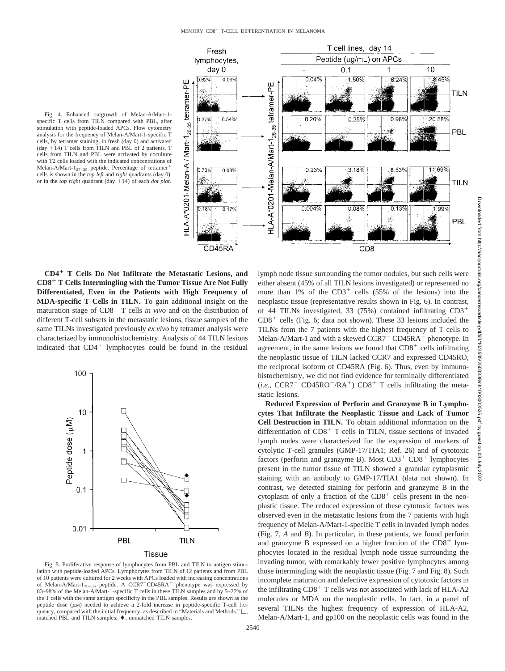

Fig. 4. Enhanced outgrowth of Melan-A/Mart-1 specific T cells from TILN compared with PBL, after stimulation with peptide-loaded APCs. Flow cytometry analysis for the frequency of Melan-A/Mart-1-specific T cells, by tetramer staining, in fresh (day 0) and activated (day  $+14$ ) T cells from TILN and PBL of 2 patients. T cells from TILN and PBL were activated by coculture with T2 cells loaded with the indicated concentrations of Melan-A/Mart- $1_{27-35}$  peptide. Percentage of tetramer<sup>+</sup> cells is shown in the *top left* and *right* quadrants (day 0), or in the *top right* quadrant (day +14) of each *dot plot*.

**CD4 T Cells Do Not Infiltrate the Metastatic Lesions, and CD8 T Cells Intermingling with the Tumor Tissue Are Not Fully Differentiated, Even in the Patients with High Frequency of MDA-specific T Cells in TILN.** To gain additional insight on the maturation stage of  $CD8<sup>+</sup>$  T cells *in vivo* and on the distribution of different T-cell subsets in the metastatic lesions, tissue samples of the same TILNs investigated previously *ex vivo* by tetramer analysis were characterized by immunohistochemistry. Analysis of 44 TILN lesions indicated that  $CD4^+$  lymphocytes could be found in the residual



Fig. 5. Proliferative response of lymphocytes from PBL and TILN to antigen stimulation with peptide-loaded APCs. Lymphocytes from TILN of 12 patients and from PBL of 10 patients were cultured for 2 weeks with APCs loaded with increasing concentrations of Melan-A/Mart-1<sub>26-35</sub> peptide. A CCR7<sup>-</sup>CD45RA<sup>-</sup> phenotype was expressed by 83–98% of the Melan-A/Mart-1-specific T cells in these TILN samples and by 5–27% of the T cells with the same antigen specificity in the PBL samples. Results are shown as the peptide dose  $(\mu)$  needed to achieve a 2-fold increase in peptide-specific T-cell frequency, compared with the initial frequency, as described in "Materials and Methods."  $\Box$ . matched PBL and TILN samples;  $\blacklozenge$ , unmatched TILN samples.

lymph node tissue surrounding the tumor nodules, but such cells were either absent (45% of all TILN lesions investigated) or represented no more than  $1\%$  of the CD3<sup>+</sup> cells (55% of the lesions) into the neoplastic tissue (representative results shown in Fig. 6). In contrast, of 44 TILNs investigated, 33 (75%) contained infiltrating CD3  $CD8<sup>+</sup>$  cells (Fig. 6; data not shown). These 33 lesions included the TILNs from the 7 patients with the highest frequency of T cells to Melan-A/Mart-1 and with a skewed CCR7<sup>-</sup> CD45RA<sup>-</sup> phenotype. In agreement, in the same lesions we found that  $CD8<sup>+</sup>$  cells infiltrating the neoplastic tissue of TILN lacked CCR7 and expressed CD45RO, the reciprocal isoform of CD45RA (Fig. 6). Thus, even by immunohistochemistry, we did not find evidence for terminally differentiated  $(i.e., CCR7^- CD45RO^-/RA^+) CDB^+$  T cells infiltrating the meta-**Reduced Expression of Perforin and Granzyme B in Lympho-**

**cytes That Infiltrate the Neoplastic Tissue and Lack of Tumor Cell Destruction in TILN.** To obtain additional information on the differentiation of  $CD8<sup>+</sup>$  T cells in TILN, tissue sections of invaded lymph nodes were characterized for the expression of markers of cytolytic T-cell granules (GMP-17/TIA1; Ref. 26) and of cytotoxic factors (perforin and granzyme B). Most  $CD3^+$  CD8<sup>+</sup> lymphocytes present in the tumor tissue of TILN showed a granular cytoplasmic staining with an antibody to GMP-17/TIA1 (data not shown). In contrast, we detected staining for perforin and granzyme B in the cytoplasm of only a fraction of the  $CD8<sup>+</sup>$  cells present in the neoplastic tissue. The reduced expression of these cytotoxic factors was observed even in the metastatic lesions from the 7 patients with high frequency of Melan-A/Mart-1-specific T cells in invaded lymph nodes (Fig. 7, *A* and *B*). In particular, in these patients, we found perforin and granzyme B expressed on a higher fraction of the  $CD8<sup>+</sup>$  lymphocytes located in the residual lymph node tissue surrounding the invading tumor, with remarkably fewer positive lymphocytes among those intermingling with the neoplastic tissue (Fig. 7 and Fig. 8). Such incomplete maturation and defective expression of cytotoxic factors in the infiltrating  $CD8<sup>+</sup>$  T cells was not associated with lack of HLA-A2 molecules or MDA on the neoplastic cells. In fact, in a panel of several TILNs the highest frequency of expression of HLA-A2, Melan-A/Mart-1, and gp100 on the neoplastic cells was found in the

static lesions.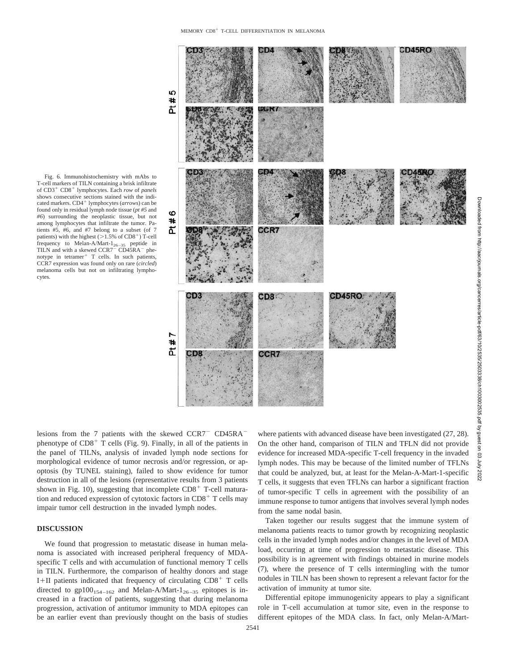Fig. 6. Immunohistochemistry with mAbs to T-cell markers of TILN containing a brisk infiltrate of  $CD3^+$  CD8<sup>+</sup> lymphocytes. Each *row* of *panels* shows consecutive sections stained with the indicated markers. CD4<sup>+</sup> lymphocytes (arrows) can be found only in residual lymph node tissue (*pt #5* and *#6*) surrounding the neoplastic tissue, but not among lymphocytes that infiltrate the tumor. Patients #5, #6, and #7 belong to a subset (of 7 patients) with the highest ( $>1.5\%$  of CD8<sup>+</sup>) T-cell frequency to Melan-A/Mart- $1_{26-35}$  peptide in TILN and with a skewed CCR7<sup>-</sup> CD45RA<sup>-</sup> phenotype in tetramer<sup>+</sup> T cells. In such patients, CCR7 expression was found only on rare (*circled*) melanoma cells but not on infiltrating lymphocytes.



lesions from the 7 patients with the skewed CCR7<sup>-</sup> CD45RA<sup>-</sup> phenotype of  $CD8<sup>+</sup>$  T cells (Fig. 9). Finally, in all of the patients in the panel of TILNs, analysis of invaded lymph node sections for morphological evidence of tumor necrosis and/or regression, or apoptosis (by TUNEL staining), failed to show evidence for tumor destruction in all of the lesions (representative results from 3 patients shown in Fig. 10), suggesting that incomplete  $CD8<sup>+</sup>$  T-cell maturation and reduced expression of cytotoxic factors in  $CD8<sup>+</sup>$  T cells may impair tumor cell destruction in the invaded lymph nodes.

## **DISCUSSION**

We found that progression to metastatic disease in human melanoma is associated with increased peripheral frequency of MDAspecific T cells and with accumulation of functional memory T cells in TILN. Furthermore, the comparison of healthy donors and stage I+II patients indicated that frequency of circulating  $CD8<sup>+</sup>$  T cells directed to  $gp100_{154-162}$  and Melan-A/Mart- $1_{26-35}$  epitopes is increased in a fraction of patients, suggesting that during melanoma progression, activation of antitumor immunity to MDA epitopes can be an earlier event than previously thought on the basis of studies

where patients with advanced disease have been investigated (27, 28). On the other hand, comparison of TILN and TFLN did not provide evidence for increased MDA-specific T-cell frequency in the invaded lymph nodes. This may be because of the limited number of TFLNs that could be analyzed, but, at least for the Melan-A-Mart-1-specific T cells, it suggests that even TFLNs can harbor a significant fraction of tumor-specific T cells in agreement with the possibility of an immune response to tumor antigens that involves several lymph nodes from the same nodal basin.

**July 2022** 

Taken together our results suggest that the immune system of melanoma patients reacts to tumor growth by recognizing neoplastic cells in the invaded lymph nodes and/or changes in the level of MDA load, occurring at time of progression to metastatic disease. This possibility is in agreement with findings obtained in murine models (7), where the presence of T cells intermingling with the tumor nodules in TILN has been shown to represent a relevant factor for the activation of immunity at tumor site.

Differential epitope immunogenicity appears to play a significant role in T-cell accumulation at tumor site, even in the response to different epitopes of the MDA class. In fact, only Melan-A/Mart-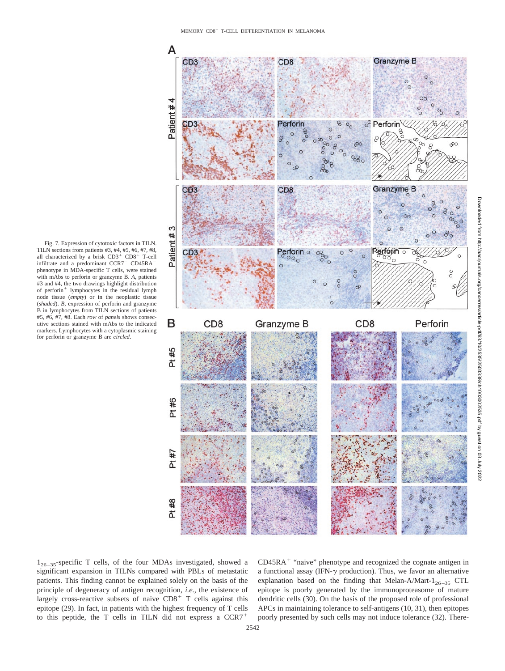

Fig. 7. Expression of cytotoxic factors in TILN. TILN sections from patients #3, #4, #5, #6, #7, #8, all characterized by a brisk  $CD3^+$   $CD8^+$  T-cell infiltrate and a predominant CCR7<sup>-</sup> CD45RA<sup>-</sup> phenotype in MDA-specific T cells, were stained with mAbs to perforin or granzyme B. *A,* patients #3 and #4, the two drawings highlight distribution of perforin<sup>+</sup> lymphocytes in the residual lymph node tissue (*empty*) or in the neoplastic tissue (*shaded*). *B,* expression of perforin and granzyme B in lymphocytes from TILN sections of patients #5, #6, #7, #8. Each *row* of *panels* shows consecutive sections stained with mAbs to the indicated markers. Lymphocytes with a cytoplasmic staining for perforin or granzyme B are *circled*.



 $1_{26-35}$ -specific T cells, of the four MDAs investigated, showed a significant expansion in TILNs compared with PBLs of metastatic patients. This finding cannot be explained solely on the basis of the principle of degeneracy of antigen recognition, *i.e.,* the existence of largely cross-reactive subsets of naive  $CDS<sup>+</sup> T$  cells against this epitope (29). In fact, in patients with the highest frequency of T cells to this peptide, the T cells in TILN did not express a CCR7

 $CD45RA<sup>+</sup>$  "naive" phenotype and recognized the cognate antigen in a functional assay (IFN- $\gamma$  production). Thus, we favor an alternative explanation based on the finding that Melan-A/Mart- $1_{26-35}$  CTL epitope is poorly generated by the immunoproteasome of mature dendritic cells (30). On the basis of the proposed role of professional APCs in maintaining tolerance to self-antigens (10, 31), then epitopes poorly presented by such cells may not induce tolerance (32). There-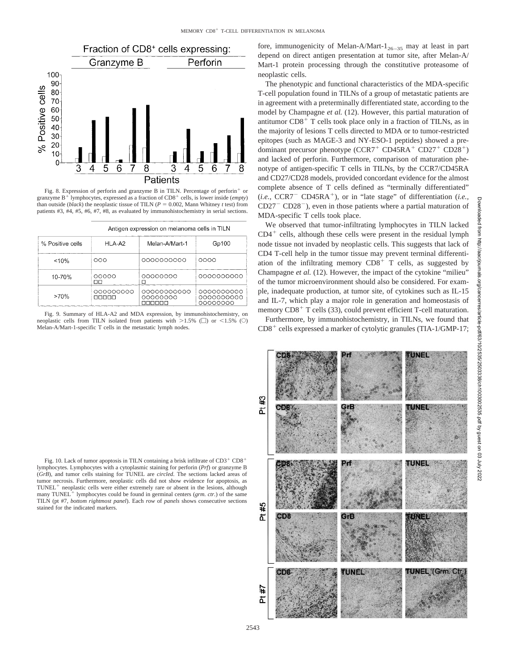

Fig. 8. Expression of perforin and granzyme B in TILN. Percentage of perforin<sup>+</sup> or granzyme  $B^+$  lymphocytes, expressed as a fraction of  $CD8^+$  cells, is lower inside (*empty*) than outside (*black*) the neoplastic tissue of TILN ( $P = 0.002$ , Mann Whitney *t* test) from patients #3, #4, #5, #6, #7, #8, as evaluated by immunohistochemistry in serial sections.

| Antigen expression on melanoma cells in TILN |  |  |  |
|----------------------------------------------|--|--|--|

| % Positive cells | <b>HI A-A2</b>    | Melan-A/Mart-1          | Gp100                                |  |  |
|------------------|-------------------|-------------------------|--------------------------------------|--|--|
| < 10%            | ೧೧೧               | 0000000000              | 0000                                 |  |  |
| 10-70%           | 00000<br>ПO       | 00000000                | 0000000000                           |  |  |
| >70%             | 000000000<br>nnnn | 00000000000<br>00000000 | 0000000000<br>0000000000<br>00000000 |  |  |

Fig. 9. Summary of HLA-A2 and MDA expression, by immunohistochemistry, on neoplastic cells from TILN isolated from patients with  $>1.5\%$  ( $\Box$ ) or <1.5% ( $\odot$ ) Melan-A/Mart-1-specific T cells in the metastatic lymph nodes.

fore, immunogenicity of Melan-A/Mart- $1_{26-35}$  may at least in part depend on direct antigen presentation at tumor site, after Melan-A/ Mart-1 protein processing through the constitutive proteasome of neoplastic cells.

The phenotypic and functional characteristics of the MDA-specific T-cell population found in TILNs of a group of metastatic patients are in agreement with a preterminally differentiated state, according to the model by Champagne *et al.* (12). However, this partial maturation of antitumor  $CD8<sup>+</sup>$  T cells took place only in a fraction of TILNs, as in the majority of lesions T cells directed to MDA or to tumor-restricted epitopes (such as MAGE-3 and NY-ESO-1 peptides) showed a predominant precursor phenotype  $(CCR7^+ CD45RA^+ CD27^+ CD28^+)$ and lacked of perforin. Furthermore, comparison of maturation phenotype of antigen-specific T cells in TILNs, by the CCR7/CD45RA and CD27/CD28 models, provided concordant evidence for the almost complete absence of T cells defined as "terminally differentiated"  $(i.e., CCR7 \text{ } CD45RA \text{ }^{+})$ , or in "late stage" of differentiation (*i.e.*,  $CD27$ <sup>-</sup> $CD28$ <sup>-</sup>), even in those patients where a partial maturation of MDA-specific T cells took place.

We observed that tumor-infiltrating lymphocytes in TILN lacked  $CD4<sup>+</sup>$  cells, although these cells were present in the residual lymph node tissue not invaded by neoplastic cells. This suggests that lack of CD4 T-cell help in the tumor tissue may prevent terminal differentiation of the infiltrating memory  $CDS<sup>+</sup> T$  cells, as suggested by Champagne *et al.* (12). However, the impact of the cytokine "milieu" of the tumor microenvironment should also be considered. For example, inadequate production, at tumor site, of cytokines such as IL-15 and IL-7, which play a major role in generation and homeostasis of memory  $CD8<sup>+</sup>$  T cells (33), could prevent efficient T-cell maturation.

Furthermore, by immunohistochemistry, in TILNs, we found that  $CD8<sup>+</sup>$  cells expressed a marker of cytolytic granules (TIA-1/GMP-17;



Fig. 10. Lack of tumor apoptosis in TILN containing a brisk infiltrate of  $CD3^+$   $CD8^+$ lymphocytes. Lymphocytes with a cytoplasmic staining for perforin (*Prf*) or granzyme B (*GrB*), and tumor cells staining for TUNEL are *circled*. The sections lacked areas of tumor necrosis. Furthermore, neoplastic cells did not show evidence for apoptosis, as TUNEL<sup>+</sup> neoplastic cells were either extremely rare or absent in the lesions, although many TUNEL<sup>+</sup> lymphocytes could be found in germinal centers (*grm. ctr.*) of the same TILN (pt #7, *bottom rightmost panel*). Each *row* of *panels* shows consecutive sections stained for the indicated markers.

2543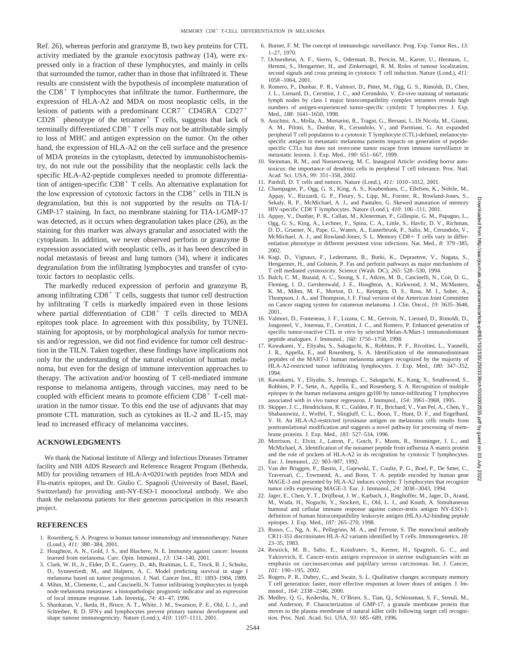Ref. 26), whereas perforin and granzyme B, two key proteins for CTL activity mediated by the granule exocytosis pathway (14), were expressed only in a fraction of these lymphocytes, and mainly in cells that surrounded the tumor, rather than in those that infiltrated it. These results are consistent with the hypothesis of incomplete maturation of the  $CD8<sup>+</sup>$  T lymphocytes that infiltrate the tumor. Furthermore, the expression of HLA-A2 and MDA on most neoplastic cells, in the lesions of patients with a predominant  $CCR7$ <sup>-</sup> CD45RA<sup>-</sup> CD27<sup>+</sup>  $CD28^-$  phenotype of the tetramer<sup>+</sup> T cells, suggests that lack of terminally differentiated  $CD8<sup>+</sup>$  T cells may not be attributable simply to loss of MHC and antigen expression on the tumor. On the other hand, the expression of HLA-A2 on the cell surface and the presence of MDA proteins in the cytoplasm, detected by immunohistochemistry, do not rule out the possibility that the neoplastic cells lack the specific HLA-A2-peptide complexes needed to promote differentiation of antigen-specific  $CD8<sup>+</sup>$  T cells. An alternative explanation for the low expression of cytotoxic factors in the  $CD8<sup>+</sup>$  cells in TILN is degranulation, but this is not supported by the results on TIA-1/ GMP-17 staining. In fact, no membrane staining for TIA-1/GMP-17 was detected, as it occurs when degranulation takes place (26), as the staining for this marker was always granular and associated with the cytoplasm. In addition, we never observed perforin or granzyme B expression associated with neoplastic cells, as it has been described in nodal metastasis of breast and lung tumors (34), where it indicates degranulation from the infiltrating lymphocytes and transfer of cytotoxic factors to neoplastic cells.

The markedly reduced expression of perforin and granzyme B, among infiltrating  $CDS<sup>+</sup> T$  cells, suggests that tumor cell destruction by infiltrating T cells is markedly impaired even in those lesions where partial differentiation of  $CD8<sup>+</sup>$  T cells directed to MDA epitopes took place. In agreement with this possibility, by TUNEL staining for apoptosis, or by morphological analysis for tumor necrosis and/or regression, we did not find evidence for tumor cell destruction in the TILN. Taken together, these findings have implications not only for the understanding of the natural evolution of human melanoma, but even for the design of immune intervention approaches to therapy. The activation and/or boosting of T cell-mediated immune response to melanoma antigens, through vaccines, may need to be coupled with efficient means to promote efficient  $CD8<sup>+</sup>$  T-cell maturation in the tumor tissue. To this end the use of adjuvants that may promote CTL maturation, such as cytokines as IL-2 and IL-15, may lead to increased efficacy of melanoma vaccines.

### **ACKNOWLEDGMENTS**

We thank the National Institute of Allergy and Infectious Diseases Tetramer facility and NIH AIDS Research and Reference Reagent Program (Bethesda, MD) for providing tetramers of HLA-A\*0201/with peptides from MDA and Flu-matrix epitopes, and Dr. Giulio C. Spagnoli (University of Basel, Basel, Switzerland) for providing anti-NY-ESO-1 monoclonal antibody. We also thank the melanoma patients for their generous participation in this research project.

#### **REFERENCES**

- 1. Rosenberg, S. A. Progress in human tumour immunology and immunotherapy. Nature (Lond.), *411:* 380–384, 2001.
- 2. Houghton, A. N., Gold, J. S., and Blachere, N. E. Immunity against cancer: lessons learned from melanoma. Curr. Opin. Immunol., *13:* 134–140, 2001.
- 3. Clark, W. H., Jr., Elder, D. E., Guerry, D., 4th, Braitman, L. E., Trock, B. J., Schultz, D., Synnestvedt, M., and Halpern, A. C. Model predicting survival in stage I melanoma based on tumor progression. J. Natl. Cancer Inst., *81:* 1893–1904, 1989.
- 4. Mihm, M., Clemente, C., and Cascinelli, N. Tumor infiltrating lymphocytes in lymph node melanoma metastases: a histopathologic prognostic indicator and an expression of local immune response. Lab. Investig., *74:* 43–47, 1996.
- 5. Shankaran, V., Ikeda, H., Bruce, A. T., White, J. M., Swanson, P. E., Old, L. J., and Schreiber, R. D. IFN $\gamma$  and lymphocytes prevent primary tumour development and shape tumour immunogenicity. Nature (Lond.), *410:* 1107–1111, 2001.
- 6. Burnet, F. M. The concept of immunologic surveillance. Prog. Exp. Tumor Res., *13:* 1–27, 1970.
- 7. Ochsenbein, A. F., Sierro, S., Odermatt, B., Pericin, M., Karrer, U., Hermans, J., Hemmi, S., Hengartner, H., and Zinkernagel, R. M. Roles of tumour localization, second signals and cross priming in cytotoxic T cell induction. Nature (Lond.), *411:* 1058–1064, 2001.
- 8. Romero, P., Dunbar, P. R., Valmori, D., Pittet, M., Ogg, G. S., Rimoldi, D., Chen, J. L., Lienard, D., Cerottini, J. C., and Cerundolo, V. *Ex-vivo* staining of metastatic lymph nodes by class I major histocompatibility complex tetramers reveals high numbers of antigen-experienced tumor-specific cytolytic T lymphocytes. J. Exp. Med., *188:* 1641–1650, 1998.
- 9. Anichini, A., Molla, A., Mortarini, R., Tragni, G., Bersani, I., Di Nicola, M., Gianni, A. M., Pilotti, S., Dunbar, R., Cerundolo, V., and Parmiani, G. An expanded peripheral T cell population to a cytotoxic T lymphocyte (CTL)-defined, melanocytespecific antigen in metastatic melanoma patients impacts on generation of peptidespecific CTLs but does not overcome tumor escape from immune surveillance in metastatic lesions. J. Exp. Med., *190:* 651–667, 1999.
- 10. Steinman, R. M., and Nussenzweig, M. C. Inaugural Article: avoiding horror autotoxicus: the importance of dendritic cells in peripheral T cell tolerance. Proc. Natl. Acad. Sci. USA, *99:* 351–358, 2002.
- 11. Pardoll, D. T cells and tumors. Nature (Lond.), *411:* 1010–1012, 2001.
- 12. Champagne, P., Ogg, G. S., King, A. S., Knabenhans, C., Ellefsen, K., Nobile, M., Appay, V., Rizzardi, G. P., Fleury, S., Lipp, M., Forster, R., Rowland-Jones, S., Sekaly, R. P., McMichael, A. J., and Pantaleo, G. Skewed maturation of memory HIV-specific CD8 T lymphocytes. Nature (Lond.)*, 410*: 106–111, 2001.
- 13. Appay, V., Dunbar, P. R., Callan, M., Klenerman, P., Gillespie, G. M., Papagno, L., Ogg, G. S., King, A., Lechner, F., Spina, C. A., Little, S., Havlir, D. V., Richman, D. D., Gruener, N., Pape, G., Waters, A., Easterbrook, P., Salio, M., Cerundolo, V., McMichael, A. J., and Rowland-Jones, S. L. Memory CD8+ T cells vary in differentiation phenotype in different persistent virus infections. Nat. Med., *8:* 379–385, 2002.
- 14. Kagi, D., Vignaux, F., Ledermann, B., Burki, K., Depraetere, V., Nagata, S., Hengartner, H., and Golstein, P. Fas and perforin pathways as major mechanisms of T cell mediated cytotoxicity. Science (Wash. DC)*, 265*: 528–530, 1994.
- 15. Balch, C. M., Buzaid, A. C., Soong, S. J., Atkins, M. B., Cascinelli, N., Coit, D. G., Fleming, I. D., Gershenwald, J. E., Houghton, A., Kirkwood, J. M., McMasters, K. M., Mihm, M. F., Morton, D. L., Reintgen, D. S., Ross, M. I., Sober, A., Thompson, J. A., and Thompson, J. F. Final version of the American Joint Committee on Cancer staging system for cutaneous melanoma. J. Clin. Oncol., *19:* 3635–3648, 2001.
- 16. Valmori, D., Fonteneau, J. F., Lizana, C. M., Gervois, N., Lienard, D., Rimoldi, D., Jongeneel, V., Jotereau, F., Cerottini, J. C., and Romero, P. Enhanced generation of specific tumor-reactive CTL *in vitro* by selected Melan-A/Mart-1 immunodominant peptide analogues. J. Immunol., *160:* 1750–1758, 1998.
- 17. Kawakami, Y., Eliyahu, S., Sakaguchi, K., Robbins, P. F., Rivoltini, L., Yannelli, J. R., Appella, E., and Rosenberg, S. A. Identification of the immunodominant peptides of the MART-1 human melanoma antigen recognized by the majority of HLA-A2-restricted tumor infiltrating lymphocytes. J. Exp. Med., *180:* 347–352, 1994.
- 18. Kawakami, Y., Eliyahu, S., Jennings, C., Sakaguchi, K., Kang, X., Southwood, S., Robbins, P. F., Sette, A., Appella, E., and Rosenberg, S. A. Recognition of multiple epitopes in the human melanoma antigen gp100 by tumor-infiltrating T lymphocytes associated with *in vivo* tumor regression. J. Immunol., *154:* 3961–3968, 1995.
- 19. Skipper, J. C., Hendrickson, R. C., Gulden, P. H., Brichard, V., Van Pel, A., Chen, Y., Shabanowitz, J., Wolfel, T., Slingluff, C. L., Boon, T., Hunt, D. F., and Engelhard, V. H. An HLA-A2-restricted tyrosinase antigen on melanoma cells results from posttranslational modification and suggests a novel pathway for processing of membrane proteins. J. Exp. Med., *183:* 527–534, 1996.
- 20. Morrison, J., Elvin, J., Latron, F., Gotch, F., Moots, R., Strominger, J. L., and McMichael, A. Identification of the nonamer peptide from influenza A matrix protein and the role of pockets of HLA-A2 in its recognition by cytotoxic T lymphocytes. Eur. J. Immunol., *22:* 903–907, 1992.
- 21. Van der Bruggen, P., Bastin, J., Gajewski, T., Coulie, P. G., Boel, P., De Smet, C., Traversari, C., Townsend, A., and Boon, T. A. peptide encoded by human gene MAGE-3 and presented by HLA-A2 induces cytolytic T lymphocytes that recognize tumor cells expressing MAGE-3. Eur. J. Immunol., *24:* 3038–3043, 1994.
- 22. Jager, E., Chen, Y. T., Drijfhout, J. W., Karbach, J., Ringhoffer, M., Jager, D., Arand, M., Wada, H., Noguchi, Y., Stockert, E., Old, L. J., and Knuth, A. Simultaneous humoral and cellular immune response against cancer-testis antigen NY-ESO-1: definition of human histocompatibility leukocyte antigen (HLA)-A2-binding peptide epitopes. J. Exp. Med., *187:* 265–270, 1998.
- 23. Russo, C., Ng, A. K., Pellegrino, M. A., and Ferrone, S. The monoclonal antibody CR11-351 discriminates HLA-A2 variants identified by T cells. Immunogenetics, *18:* 23–35, 1983.
- 24. Resnick, M. B., Sabo, E., Kondratev, S., Kerner, H., Spagnoli, G. C., and Yakirevich, E. Cancer-testis antigen expression in uterine malignancies with an emphasis on carcinosarcomas and papillary serous carcinomas. Int. J. Cancer, *101:* 190 –195, 2002.
- 25. Rogers, P. R., Dubey, C., and Swain, S. L. Qualitative changes accompany memory T cell generation: faster, more effective responses at lower doses of antigen. J. Immunol., *164:* 2338–2346, 2000.
- 26. Medley, Q. G., Kedersha, N., O'Brien, S., Tian, Q., Schlossman, S. F., Streuli, M., and Anderson, P. Characterization of GMP-17, a granule membrane protein that moves to the plasma membrane of natural killer cells following target cell recognition. Proc. Natl. Acad. Sci. USA, *93:* 685–689, 1996.

Downloaded from http://aacrjournals.org/cancerres/article-pdf/63/10/2535/2503338/ch1003002535.pdf by guest on 03 July 2022

.org/cancerres/article-pdf/63/10/2535/2503338/ch1003002535.pdf by guest

 $\overline{a}$ 8 **Ainr** 2022

Downloaded from http://aacrjournals